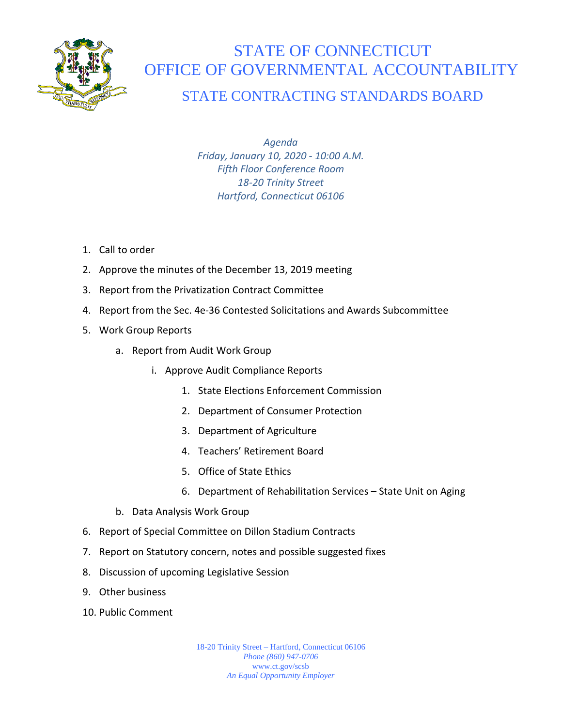

## STATE OF CONNECTICUT OFFICE OF GOVERNMENTAL ACCOUNTABILITY

## STATE CONTRACTING STANDARDS BOARD

*Agenda Friday, January 10, 2020 - 10:00 A.M. Fifth Floor Conference Room 18-20 Trinity Street Hartford, Connecticut 06106*

- 1. Call to order
- 2. Approve the minutes of the December 13, 2019 meeting
- 3. Report from the Privatization Contract Committee
- 4. Report from the Sec. 4e-36 Contested Solicitations and Awards Subcommittee
- 5. Work Group Reports
	- a. Report from Audit Work Group
		- i. Approve Audit Compliance Reports
			- 1. State Elections Enforcement Commission
			- 2. Department of Consumer Protection
			- 3. Department of Agriculture
			- 4. Teachers' Retirement Board
			- 5. Office of State Ethics
			- 6. Department of Rehabilitation Services State Unit on Aging
	- b. Data Analysis Work Group
- 6. Report of Special Committee on Dillon Stadium Contracts
- 7. Report on Statutory concern, notes and possible suggested fixes
- 8. Discussion of upcoming Legislative Session
- 9. Other business
- 10. Public Comment

18-20 Trinity Street – Hartford, Connecticut 06106 *Phone (860) 947-0706*  www.ct.gov/scsb *An Equal Opportunity Employer*